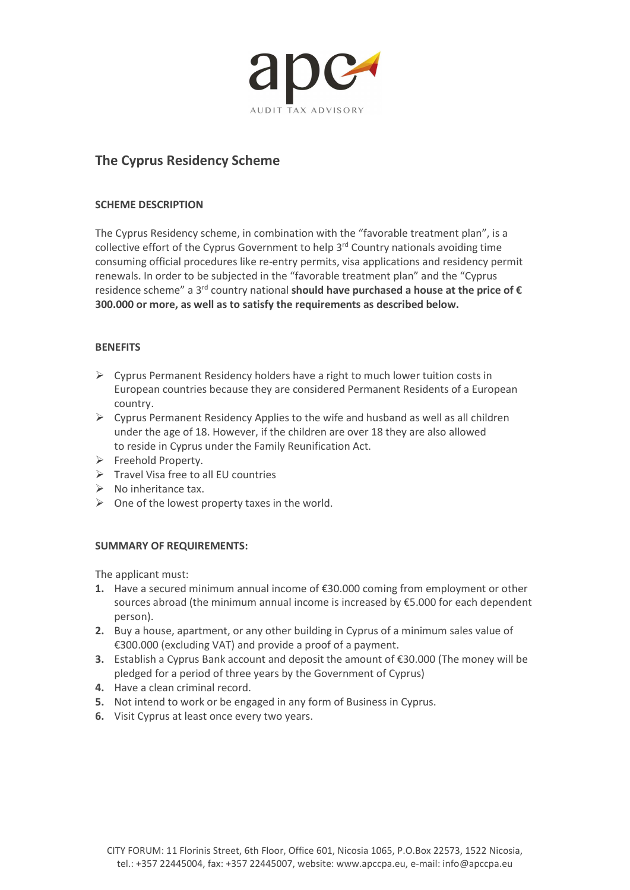

# The Cyprus Residency Scheme

# SCHEME DESCRIPTION

The Cyprus Residency scheme, in combination with the "favorable treatment plan", is a collective effort of the Cyprus Government to help 3<sup>rd</sup> Country nationals avoiding time consuming official procedures like re-entry permits, visa applications and residency permit renewals. In order to be subjected in the "favorable treatment plan" and the "Cyprus residence scheme" a 3<sup>rd</sup> country national should have purchased a house at the price of  $\epsilon$ 300.000 or more, as well as to satisfy the requirements as described below.

# **BENEFITS**

- $\triangleright$  Cyprus Permanent Residency holders have a right to much lower tuition costs in European countries because they are considered Permanent Residents of a European country.
- $\triangleright$  Cyprus Permanent Residency Applies to the wife and husband as well as all children under the age of 18. However, if the children are over 18 they are also allowed to reside in Cyprus under the Family Reunification Act.
- $\triangleright$  Freehold Property.
- $\triangleright$  Travel Visa free to all EU countries
- $\triangleright$  No inheritance tax.
- $\triangleright$  One of the lowest property taxes in the world.

# SUMMARY OF REQUIREMENTS:

The applicant must:

- 1. Have a secured minimum annual income of €30.000 coming from employment or other sources abroad (the minimum annual income is increased by €5.000 for each dependent person).
- 2. Buy a house, apartment, or any other building in Cyprus of a minimum sales value of €300.000 (excluding VAT) and provide a proof of a payment.
- 3. Establish a Cyprus Bank account and deposit the amount of €30.000 (The money will be pledged for a period of three years by the Government of Cyprus)
- 4. Have a clean criminal record.
- 5. Not intend to work or be engaged in any form of Business in Cyprus.
- 6. Visit Cyprus at least once every two years.